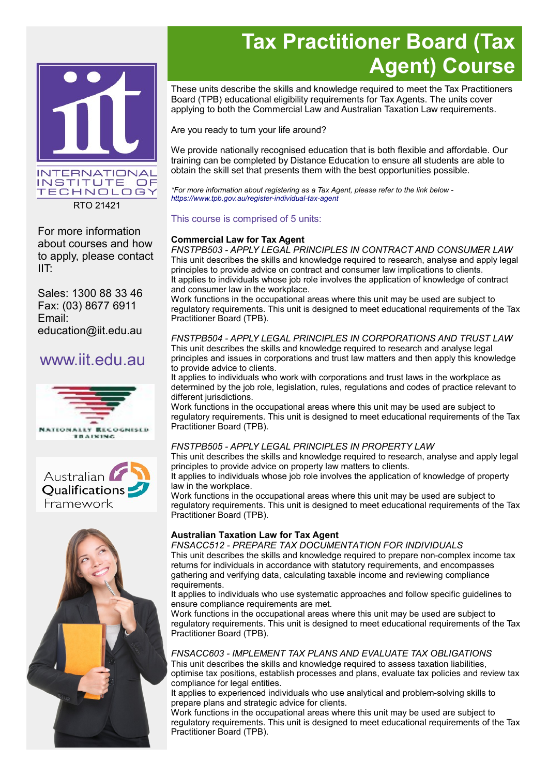

RTO 21421

For more information about courses and how to apply, please contact IIT:

Sales: 1300 88 33 46 Fax: (03) 8677 6911 Email: education@iit.edu.au

# www.iit.edu.au







# **Tax Practitioner Board (Tax Agent) Course**

These units describe the skills and knowledge required to meet the Tax Practitioners Board (TPB) educational eligibility requirements for Tax Agents. The units cover applying to both the Commercial Law and Australian Taxation Law requirements.

Are you ready to turn your life around?

We provide nationally recognised education that is both flexible and affordable. Our training can be completed by Distance Education to ensure all students are able to obtain the skill set that presents them with the best opportunities possible.

*\*For more information about registering as a Tax Agent, please refer to the link below <https://www.tpb.gov.au/register-individual-tax-agent>*

## This course is comprised of 5 units:

### **Commercial Law for Tax Agent**

*FNSTPB503 - APPLY LEGAL PRINCIPLES IN CONTRACT AND CONSUMER LAW* This unit describes the skills and knowledge required to research, analyse and apply legal principles to provide advice on contract and consumer law implications to clients. It applies to individuals whose job role involves the application of knowledge of contract and consumer law in the workplace.

Work functions in the occupational areas where this unit may be used are subject to regulatory requirements. This unit is designed to meet educational requirements of the Tax Practitioner Board (TPB).

### *FNSTPB504 - APPLY LEGAL PRINCIPLES IN CORPORATIONS AND TRUST LAW*

This unit describes the skills and knowledge required to research and analyse legal principles and issues in corporations and trust law matters and then apply this knowledge to provide advice to clients.

It applies to individuals who work with corporations and trust laws in the workplace as determined by the job role, legislation, rules, regulations and codes of practice relevant to different jurisdictions.

Work functions in the occupational areas where this unit may be used are subject to regulatory requirements. This unit is designed to meet educational requirements of the Tax Practitioner Board (TPB).

### *FNSTPB505 - APPLY LEGAL PRINCIPLES IN PROPERTY LAW*

This unit describes the skills and knowledge required to research, analyse and apply legal principles to provide advice on property law matters to clients.

It applies to individuals whose job role involves the application of knowledge of property law in the workplace.

Work functions in the occupational areas where this unit may be used are subject to regulatory requirements. This unit is designed to meet educational requirements of the Tax Practitioner Board (TPB).

# **Australian Taxation Law for Tax Agent**

*FNSACC512 - PREPARE TAX DOCUMENTATION FOR INDIVIDUALS* This unit describes the skills and knowledge required to prepare non-complex income tax

returns for individuals in accordance with statutory requirements, and encompasses gathering and verifying data, calculating taxable income and reviewing compliance requirements.

It applies to individuals who use systematic approaches and follow specific guidelines to ensure compliance requirements are met.

Work functions in the occupational areas where this unit may be used are subject to regulatory requirements. This unit is designed to meet educational requirements of the Tax Practitioner Board (TPB).

### *FNSACC603 - IMPLEMENT TAX PLANS AND EVALUATE TAX OBLIGATIONS*

This unit describes the skills and knowledge required to assess taxation liabilities, optimise tax positions, establish processes and plans, evaluate tax policies and review tax compliance for legal entities.

It applies to experienced individuals who use analytical and problem-solving skills to prepare plans and strategic advice for clients.

Work functions in the occupational areas where this unit may be used are subject to regulatory requirements. This unit is designed to meet educational requirements of the Tax Practitioner Board (TPB).